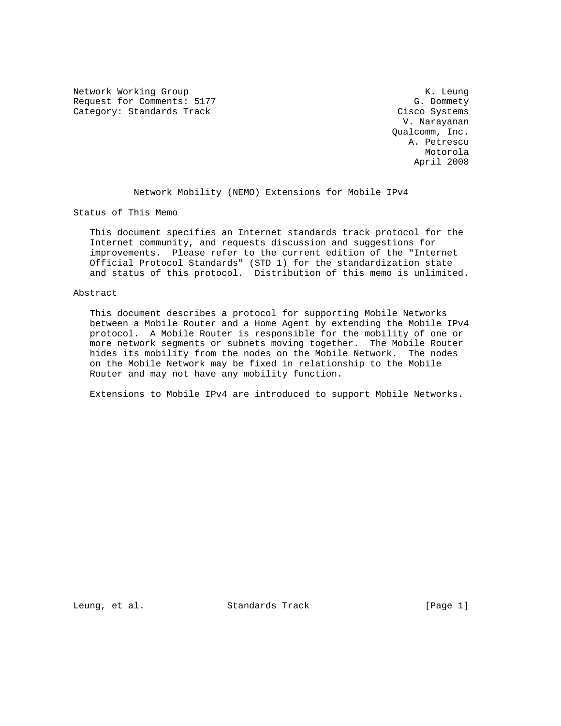Network Working Group Network Working Group Network Channel Muslim Network Channel Muslim Network Channel Muslim Request for Comments: 5177 G. Dommety<br>
Category: Standards Track Gisco Systems Category: Standards Track

 V. Narayanan Qualcomm, Inc. A. Petrescu Motorola April 2008

Network Mobility (NEMO) Extensions for Mobile IPv4

Status of This Memo

 This document specifies an Internet standards track protocol for the Internet community, and requests discussion and suggestions for improvements. Please refer to the current edition of the "Internet Official Protocol Standards" (STD 1) for the standardization state and status of this protocol. Distribution of this memo is unlimited.

#### Abstract

 This document describes a protocol for supporting Mobile Networks between a Mobile Router and a Home Agent by extending the Mobile IPv4 protocol. A Mobile Router is responsible for the mobility of one or more network segments or subnets moving together. The Mobile Router hides its mobility from the nodes on the Mobile Network. The nodes on the Mobile Network may be fixed in relationship to the Mobile Router and may not have any mobility function.

Extensions to Mobile IPv4 are introduced to support Mobile Networks.

Leung, et al. Standards Track [Page 1]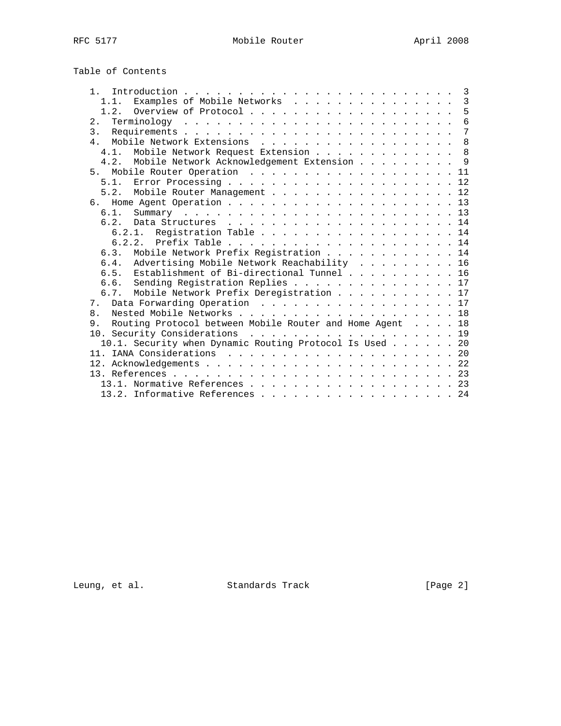# Table of Contents

| $1 \quad$                                                      |  | $\overline{3}$ |
|----------------------------------------------------------------|--|----------------|
| Examples of Mobile Networks 3<br>1.1.                          |  |                |
|                                                                |  | 5              |
| 2.                                                             |  | 6              |
| 3 <sub>1</sub>                                                 |  | 7              |
| $\overline{4}$                                                 |  | 8              |
| Mobile Network Request Extension<br>$4.1$ .                    |  | 8              |
| 4.2. Mobile Network Acknowledgement Extension                  |  | 9              |
| 5 <sub>1</sub>                                                 |  | 11             |
|                                                                |  |                |
| 5.2. Mobile Router Management 12                               |  |                |
| რ.                                                             |  |                |
| 6.1.                                                           |  |                |
| 62                                                             |  |                |
| 6.2.1. Registration Table 14                                   |  |                |
| 6.2.2.                                                         |  |                |
| 6.3. Mobile Network Prefix Registration 14                     |  |                |
| Advertising Mobile Network Reachability 16<br>6.4.             |  |                |
| Establishment of Bi-directional Tunnel 16<br>6.5.              |  |                |
| 6.6. Sending Registration Replies 17                           |  |                |
| Mobile Network Prefix Deregistration 17<br>6.7.                |  |                |
| Data Forwarding Operation 17<br>7.                             |  |                |
| 8.                                                             |  |                |
| Routing Protocol between Mobile Router and Home Agent 18<br>9. |  |                |
| 10. Security Considerations 19                                 |  |                |
| 10.1. Security when Dynamic Routing Protocol Is Used 20        |  |                |
|                                                                |  |                |
|                                                                |  |                |
|                                                                |  |                |
| 13.1. Normative References 23                                  |  |                |
| 13.2. Informative References 24                                |  |                |

Leung, et al. Standards Track [Page 2]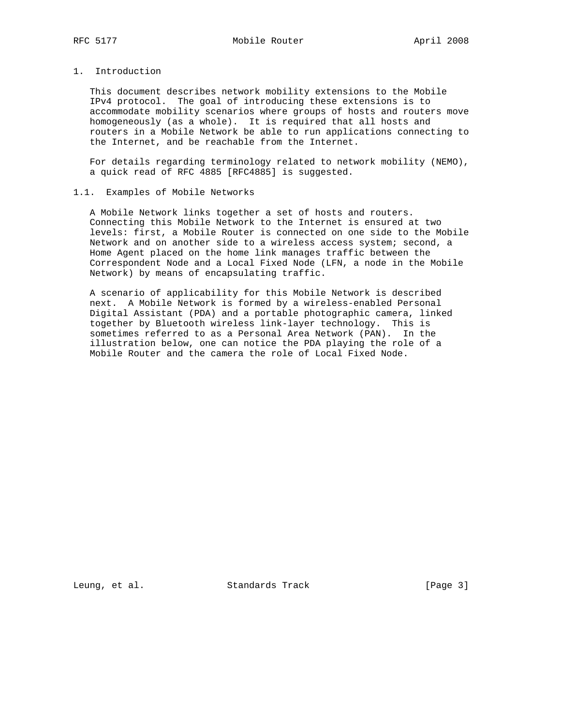# 1. Introduction

 This document describes network mobility extensions to the Mobile IPv4 protocol. The goal of introducing these extensions is to accommodate mobility scenarios where groups of hosts and routers move homogeneously (as a whole). It is required that all hosts and routers in a Mobile Network be able to run applications connecting to the Internet, and be reachable from the Internet.

 For details regarding terminology related to network mobility (NEMO), a quick read of RFC 4885 [RFC4885] is suggested.

# 1.1. Examples of Mobile Networks

 A Mobile Network links together a set of hosts and routers. Connecting this Mobile Network to the Internet is ensured at two levels: first, a Mobile Router is connected on one side to the Mobile Network and on another side to a wireless access system; second, a Home Agent placed on the home link manages traffic between the Correspondent Node and a Local Fixed Node (LFN, a node in the Mobile Network) by means of encapsulating traffic.

 A scenario of applicability for this Mobile Network is described next. A Mobile Network is formed by a wireless-enabled Personal Digital Assistant (PDA) and a portable photographic camera, linked together by Bluetooth wireless link-layer technology. This is sometimes referred to as a Personal Area Network (PAN). In the illustration below, one can notice the PDA playing the role of a Mobile Router and the camera the role of Local Fixed Node.

Leung, et al. Standards Track [Page 3]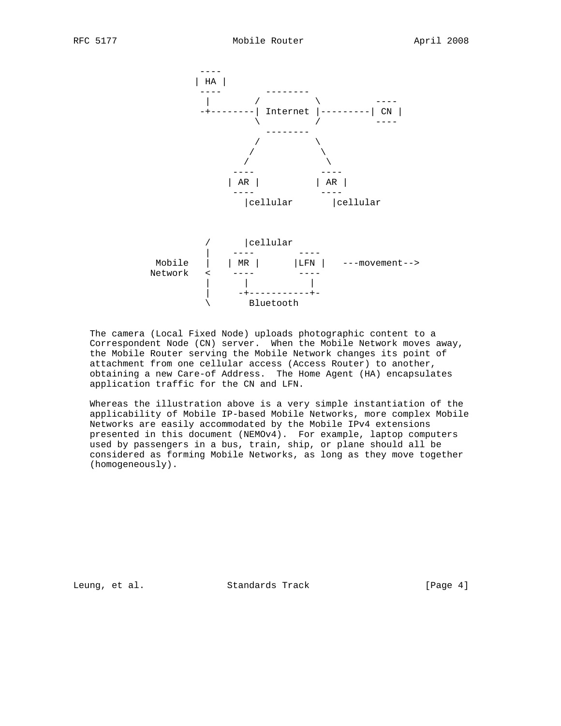

 The camera (Local Fixed Node) uploads photographic content to a Correspondent Node (CN) server. When the Mobile Network moves away, the Mobile Router serving the Mobile Network changes its point of attachment from one cellular access (Access Router) to another, obtaining a new Care-of Address. The Home Agent (HA) encapsulates application traffic for the CN and LFN.

 Whereas the illustration above is a very simple instantiation of the applicability of Mobile IP-based Mobile Networks, more complex Mobile Networks are easily accommodated by the Mobile IPv4 extensions presented in this document (NEMOv4). For example, laptop computers used by passengers in a bus, train, ship, or plane should all be considered as forming Mobile Networks, as long as they move together (homogeneously).

Leung, et al. Standards Track [Page 4]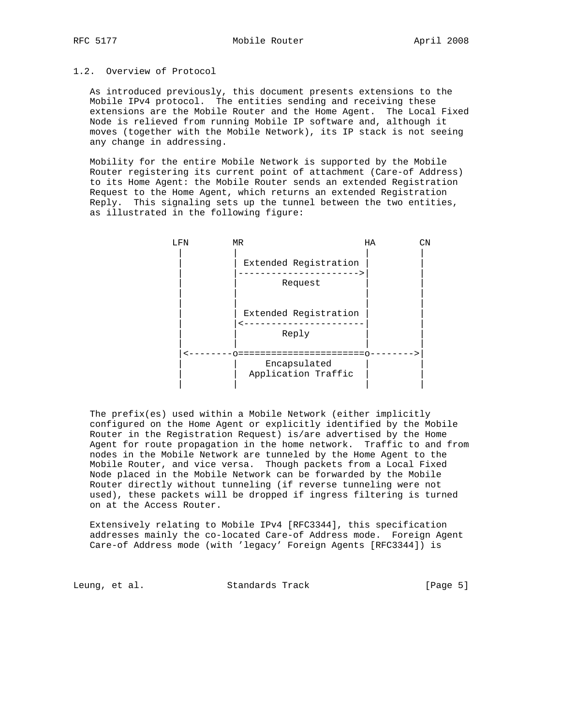# 1.2. Overview of Protocol

 As introduced previously, this document presents extensions to the Mobile IPv4 protocol. The entities sending and receiving these extensions are the Mobile Router and the Home Agent. The Local Fixed Node is relieved from running Mobile IP software and, although it moves (together with the Mobile Network), its IP stack is not seeing any change in addressing.

 Mobility for the entire Mobile Network is supported by the Mobile Router registering its current point of attachment (Care-of Address) to its Home Agent: the Mobile Router sends an extended Registration Request to the Home Agent, which returns an extended Registration Reply. This signaling sets up the tunnel between the two entities, as illustrated in the following figure:



 The prefix(es) used within a Mobile Network (either implicitly configured on the Home Agent or explicitly identified by the Mobile Router in the Registration Request) is/are advertised by the Home Agent for route propagation in the home network. Traffic to and from nodes in the Mobile Network are tunneled by the Home Agent to the Mobile Router, and vice versa. Though packets from a Local Fixed Node placed in the Mobile Network can be forwarded by the Mobile Router directly without tunneling (if reverse tunneling were not used), these packets will be dropped if ingress filtering is turned on at the Access Router.

 Extensively relating to Mobile IPv4 [RFC3344], this specification addresses mainly the co-located Care-of Address mode. Foreign Agent Care-of Address mode (with 'legacy' Foreign Agents [RFC3344]) is

Leung, et al. Standards Track [Page 5]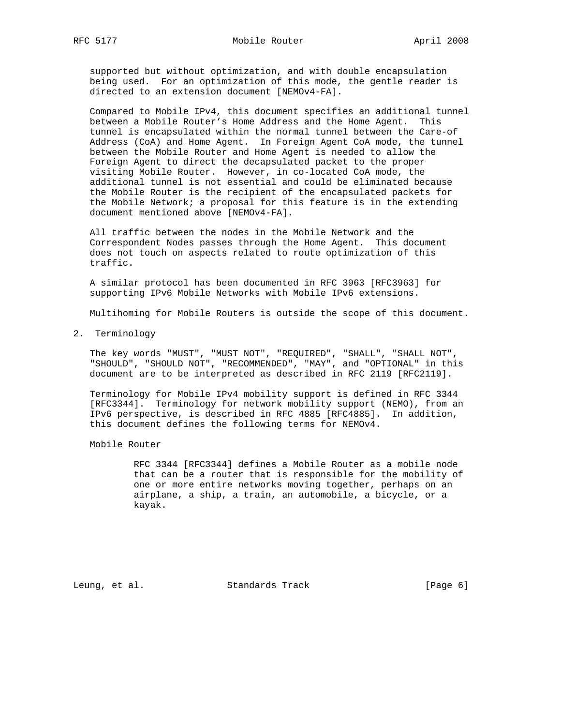supported but without optimization, and with double encapsulation being used. For an optimization of this mode, the gentle reader is directed to an extension document [NEMOv4-FA].

 Compared to Mobile IPv4, this document specifies an additional tunnel between a Mobile Router's Home Address and the Home Agent. This tunnel is encapsulated within the normal tunnel between the Care-of Address (CoA) and Home Agent. In Foreign Agent CoA mode, the tunnel between the Mobile Router and Home Agent is needed to allow the Foreign Agent to direct the decapsulated packet to the proper visiting Mobile Router. However, in co-located CoA mode, the additional tunnel is not essential and could be eliminated because the Mobile Router is the recipient of the encapsulated packets for the Mobile Network; a proposal for this feature is in the extending document mentioned above [NEMOv4-FA].

 All traffic between the nodes in the Mobile Network and the Correspondent Nodes passes through the Home Agent. This document does not touch on aspects related to route optimization of this traffic.

 A similar protocol has been documented in RFC 3963 [RFC3963] for supporting IPv6 Mobile Networks with Mobile IPv6 extensions.

Multihoming for Mobile Routers is outside the scope of this document.

2. Terminology

 The key words "MUST", "MUST NOT", "REQUIRED", "SHALL", "SHALL NOT", "SHOULD", "SHOULD NOT", "RECOMMENDED", "MAY", and "OPTIONAL" in this document are to be interpreted as described in RFC 2119 [RFC2119].

 Terminology for Mobile IPv4 mobility support is defined in RFC 3344 [RFC3344]. Terminology for network mobility support (NEMO), from an IPv6 perspective, is described in RFC 4885 [RFC4885]. In addition, this document defines the following terms for NEMOv4.

Mobile Router

 RFC 3344 [RFC3344] defines a Mobile Router as a mobile node that can be a router that is responsible for the mobility of one or more entire networks moving together, perhaps on an airplane, a ship, a train, an automobile, a bicycle, or a kayak.

Leung, et al. Standards Track [Page 6]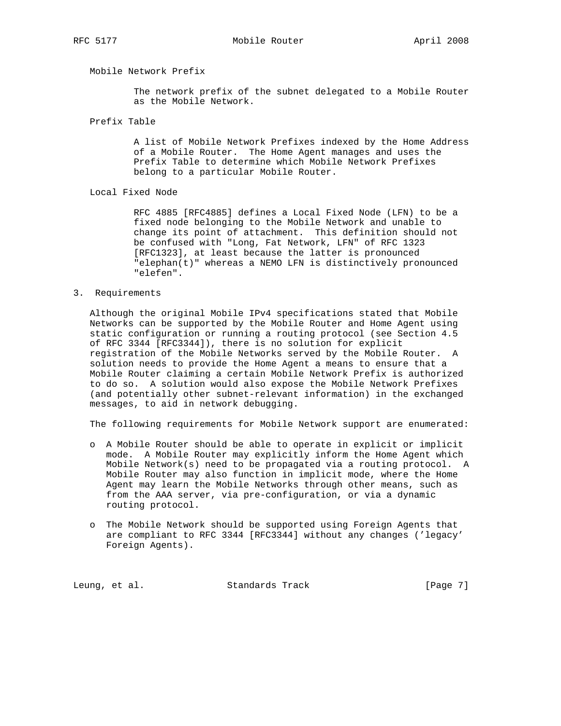# Mobile Network Prefix

 The network prefix of the subnet delegated to a Mobile Router as the Mobile Network.

Prefix Table

 A list of Mobile Network Prefixes indexed by the Home Address of a Mobile Router. The Home Agent manages and uses the Prefix Table to determine which Mobile Network Prefixes belong to a particular Mobile Router.

### Local Fixed Node

 RFC 4885 [RFC4885] defines a Local Fixed Node (LFN) to be a fixed node belonging to the Mobile Network and unable to change its point of attachment. This definition should not be confused with "Long, Fat Network, LFN" of RFC 1323 [RFC1323], at least because the latter is pronounced "elephan(t)" whereas a NEMO LFN is distinctively pronounced "elefen".

# 3. Requirements

 Although the original Mobile IPv4 specifications stated that Mobile Networks can be supported by the Mobile Router and Home Agent using static configuration or running a routing protocol (see Section 4.5 of RFC 3344 [RFC3344]), there is no solution for explicit registration of the Mobile Networks served by the Mobile Router. A solution needs to provide the Home Agent a means to ensure that a Mobile Router claiming a certain Mobile Network Prefix is authorized to do so. A solution would also expose the Mobile Network Prefixes (and potentially other subnet-relevant information) in the exchanged messages, to aid in network debugging.

The following requirements for Mobile Network support are enumerated:

- o A Mobile Router should be able to operate in explicit or implicit mode. A Mobile Router may explicitly inform the Home Agent which Mobile Network(s) need to be propagated via a routing protocol. A Mobile Router may also function in implicit mode, where the Home Agent may learn the Mobile Networks through other means, such as from the AAA server, via pre-configuration, or via a dynamic routing protocol.
- o The Mobile Network should be supported using Foreign Agents that are compliant to RFC 3344 [RFC3344] without any changes ('legacy' Foreign Agents).

Leung, et al. Standards Track [Page 7]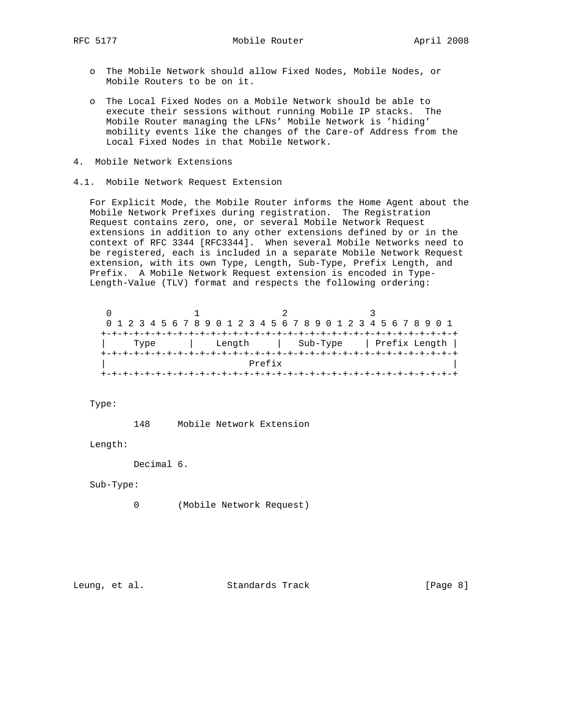- o The Mobile Network should allow Fixed Nodes, Mobile Nodes, or Mobile Routers to be on it.
- o The Local Fixed Nodes on a Mobile Network should be able to execute their sessions without running Mobile IP stacks. The Mobile Router managing the LFNs' Mobile Network is 'hiding' mobility events like the changes of the Care-of Address from the Local Fixed Nodes in that Mobile Network.
- 4. Mobile Network Extensions
- 4.1. Mobile Network Request Extension

 For Explicit Mode, the Mobile Router informs the Home Agent about the Mobile Network Prefixes during registration. The Registration Request contains zero, one, or several Mobile Network Request extensions in addition to any other extensions defined by or in the context of RFC 3344 [RFC3344]. When several Mobile Networks need to be registered, each is included in a separate Mobile Network Request extension, with its own Type, Length, Sub-Type, Prefix Length, and Prefix. A Mobile Network Request extension is encoded in Type- Length-Value (TLV) format and respects the following ordering:

|  |  |      |  |  |  |        |  |        |  |  |          |  |  |  |  | 0 1 2 3 4 5 6 7 8 9 0 1 2 3 4 5 6 7 8 9 0 1 2 3 4 5 6 7 8 9 0 1 |               |
|--|--|------|--|--|--|--------|--|--------|--|--|----------|--|--|--|--|-----------------------------------------------------------------|---------------|
|  |  |      |  |  |  |        |  |        |  |  |          |  |  |  |  |                                                                 |               |
|  |  | Type |  |  |  | Length |  |        |  |  | Sub-Type |  |  |  |  |                                                                 | Prefix Length |
|  |  |      |  |  |  |        |  |        |  |  |          |  |  |  |  |                                                                 |               |
|  |  |      |  |  |  |        |  | Prefix |  |  |          |  |  |  |  |                                                                 |               |
|  |  |      |  |  |  |        |  |        |  |  |          |  |  |  |  |                                                                 |               |

Type:

148 Mobile Network Extension

Length:

Decimal 6.

Sub-Type:

0 (Mobile Network Request)

Leung, et al. Standards Track [Page 8]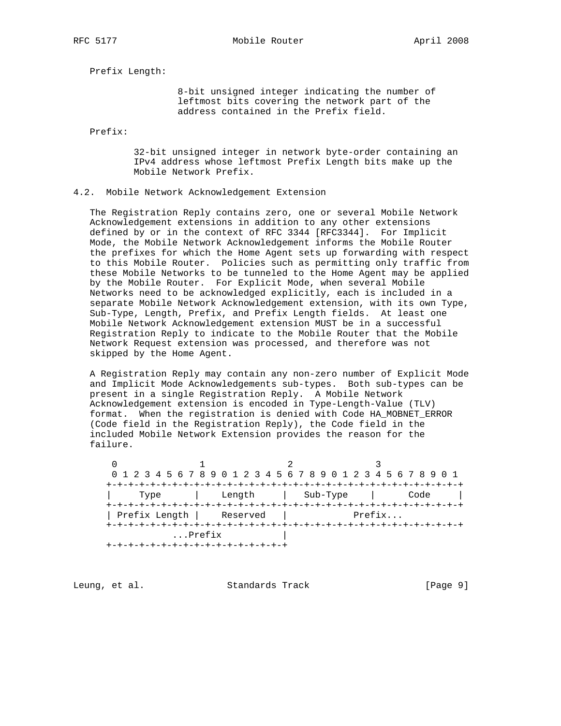RFC 5177 Mobile Router April 2008

Prefix Length:

 8-bit unsigned integer indicating the number of leftmost bits covering the network part of the address contained in the Prefix field.

Prefix:

 32-bit unsigned integer in network byte-order containing an IPv4 address whose leftmost Prefix Length bits make up the Mobile Network Prefix.

#### 4.2. Mobile Network Acknowledgement Extension

 The Registration Reply contains zero, one or several Mobile Network Acknowledgement extensions in addition to any other extensions defined by or in the context of RFC 3344 [RFC3344]. For Implicit Mode, the Mobile Network Acknowledgement informs the Mobile Router the prefixes for which the Home Agent sets up forwarding with respect to this Mobile Router. Policies such as permitting only traffic from these Mobile Networks to be tunneled to the Home Agent may be applied by the Mobile Router. For Explicit Mode, when several Mobile Networks need to be acknowledged explicitly, each is included in a separate Mobile Network Acknowledgement extension, with its own Type, Sub-Type, Length, Prefix, and Prefix Length fields. At least one Mobile Network Acknowledgement extension MUST be in a successful Registration Reply to indicate to the Mobile Router that the Mobile Network Request extension was processed, and therefore was not skipped by the Home Agent.

 A Registration Reply may contain any non-zero number of Explicit Mode and Implicit Mode Acknowledgements sub-types. Both sub-types can be present in a single Registration Reply. A Mobile Network Acknowledgement extension is encoded in Type-Length-Value (TLV) format. When the registration is denied with Code HA\_MOBNET\_ERROR (Code field in the Registration Reply), the Code field in the included Mobile Network Extension provides the reason for the failure.

 $0$  1 2 3 0 1 2 3 4 5 6 7 8 9 0 1 2 3 4 5 6 7 8 9 0 1 2 3 4 5 6 7 8 9 0 1 +-+-+-+-+-+-+-+-+-+-+-+-+-+-+-+-+-+-+-+-+-+-+-+-+-+-+-+-+-+-+-+-+ | Type | Length | Sub-Type | Code | +-+-+-+-+-+-+-+-+-+-+-+-+-+-+-+-+-+-+-+-+-+-+-+-+-+-+-+-+-+-+-+-+ | Prefix Length | Reserved | Prefix... +-+-+-+-+-+-+-+-+-+-+-+-+-+-+-+-+-+-+-+-+-+-+-+-+-+-+-+-+-+-+-+-+  $\ldots$ Prefix +-+-+-+-+-+-+-+-+-+-+-+-+-+-+-+-+

Leung, et al. Standards Track [Page 9]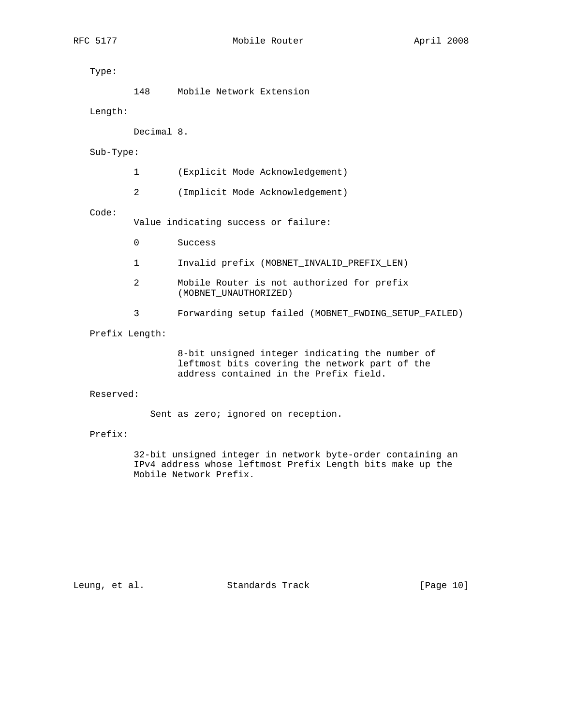Type:

148 Mobile Network Extension

Length:

Decimal 8.

Sub-Type:

1 (Explicit Mode Acknowledgement)

2 (Implicit Mode Acknowledgement)

Code:

Value indicating success or failure:

- 0 Success
- 1 Invalid prefix (MOBNET\_INVALID\_PREFIX\_LEN)
- 2 Mobile Router is not authorized for prefix (MOBNET\_UNAUTHORIZED)
- 3 Forwarding setup failed (MOBNET\_FWDING\_SETUP\_FAILED)

Prefix Length:

 8-bit unsigned integer indicating the number of leftmost bits covering the network part of the address contained in the Prefix field.

Reserved:

Sent as zero; ignored on reception.

# Prefix:

 32-bit unsigned integer in network byte-order containing an IPv4 address whose leftmost Prefix Length bits make up the Mobile Network Prefix.

Leung, et al. Standards Track [Page 10]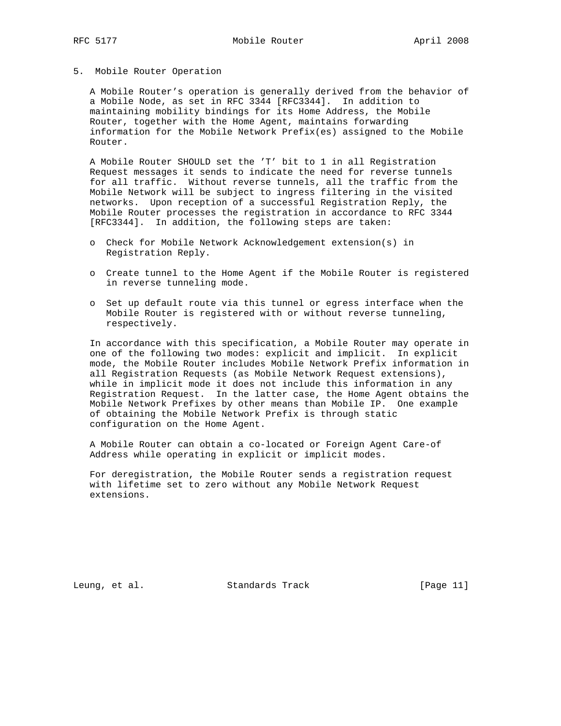5. Mobile Router Operation

 A Mobile Router's operation is generally derived from the behavior of a Mobile Node, as set in RFC 3344 [RFC3344]. In addition to maintaining mobility bindings for its Home Address, the Mobile Router, together with the Home Agent, maintains forwarding information for the Mobile Network Prefix(es) assigned to the Mobile Router.

 A Mobile Router SHOULD set the 'T' bit to 1 in all Registration Request messages it sends to indicate the need for reverse tunnels for all traffic. Without reverse tunnels, all the traffic from the Mobile Network will be subject to ingress filtering in the visited networks. Upon reception of a successful Registration Reply, the Mobile Router processes the registration in accordance to RFC 3344 [RFC3344]. In addition, the following steps are taken:

- o Check for Mobile Network Acknowledgement extension(s) in Registration Reply.
- o Create tunnel to the Home Agent if the Mobile Router is registered in reverse tunneling mode.
- o Set up default route via this tunnel or egress interface when the Mobile Router is registered with or without reverse tunneling, respectively.

 In accordance with this specification, a Mobile Router may operate in one of the following two modes: explicit and implicit. In explicit mode, the Mobile Router includes Mobile Network Prefix information in all Registration Requests (as Mobile Network Request extensions), while in implicit mode it does not include this information in any Registration Request. In the latter case, the Home Agent obtains the Mobile Network Prefixes by other means than Mobile IP. One example of obtaining the Mobile Network Prefix is through static configuration on the Home Agent.

 A Mobile Router can obtain a co-located or Foreign Agent Care-of Address while operating in explicit or implicit modes.

 For deregistration, the Mobile Router sends a registration request with lifetime set to zero without any Mobile Network Request extensions.

Leung, et al. Standards Track [Page 11]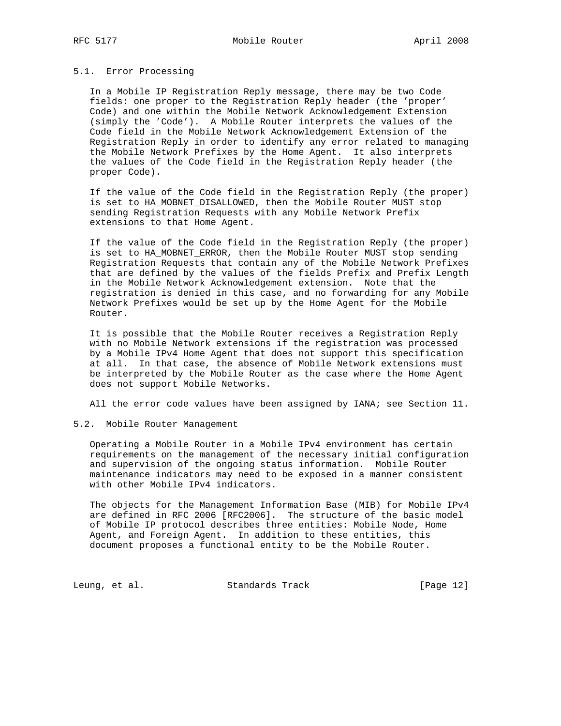#### 5.1. Error Processing

 In a Mobile IP Registration Reply message, there may be two Code fields: one proper to the Registration Reply header (the 'proper' Code) and one within the Mobile Network Acknowledgement Extension (simply the 'Code'). A Mobile Router interprets the values of the Code field in the Mobile Network Acknowledgement Extension of the Registration Reply in order to identify any error related to managing the Mobile Network Prefixes by the Home Agent. It also interprets the values of the Code field in the Registration Reply header (the proper Code).

 If the value of the Code field in the Registration Reply (the proper) is set to HA\_MOBNET\_DISALLOWED, then the Mobile Router MUST stop sending Registration Requests with any Mobile Network Prefix extensions to that Home Agent.

 If the value of the Code field in the Registration Reply (the proper) is set to HA\_MOBNET\_ERROR, then the Mobile Router MUST stop sending Registration Requests that contain any of the Mobile Network Prefixes that are defined by the values of the fields Prefix and Prefix Length in the Mobile Network Acknowledgement extension. Note that the registration is denied in this case, and no forwarding for any Mobile Network Prefixes would be set up by the Home Agent for the Mobile Router.

 It is possible that the Mobile Router receives a Registration Reply with no Mobile Network extensions if the registration was processed by a Mobile IPv4 Home Agent that does not support this specification at all. In that case, the absence of Mobile Network extensions must be interpreted by the Mobile Router as the case where the Home Agent does not support Mobile Networks.

All the error code values have been assigned by IANA; see Section 11.

#### 5.2. Mobile Router Management

 Operating a Mobile Router in a Mobile IPv4 environment has certain requirements on the management of the necessary initial configuration and supervision of the ongoing status information. Mobile Router maintenance indicators may need to be exposed in a manner consistent with other Mobile IPv4 indicators.

 The objects for the Management Information Base (MIB) for Mobile IPv4 are defined in RFC 2006 [RFC2006]. The structure of the basic model of Mobile IP protocol describes three entities: Mobile Node, Home Agent, and Foreign Agent. In addition to these entities, this document proposes a functional entity to be the Mobile Router.

Leung, et al. Standards Track [Page 12]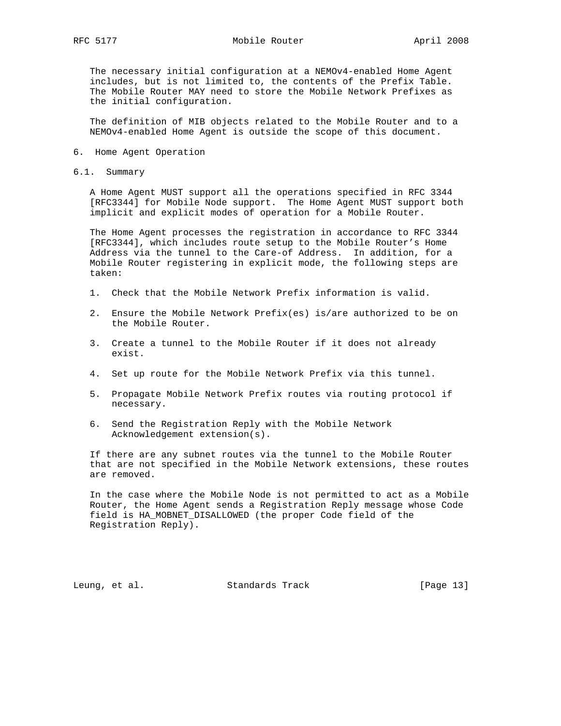RFC 5177 Mobile Router April 2008

 The necessary initial configuration at a NEMOv4-enabled Home Agent includes, but is not limited to, the contents of the Prefix Table. The Mobile Router MAY need to store the Mobile Network Prefixes as the initial configuration.

 The definition of MIB objects related to the Mobile Router and to a NEMOv4-enabled Home Agent is outside the scope of this document.

- 6. Home Agent Operation
- 6.1. Summary

 A Home Agent MUST support all the operations specified in RFC 3344 [RFC3344] for Mobile Node support. The Home Agent MUST support both implicit and explicit modes of operation for a Mobile Router.

 The Home Agent processes the registration in accordance to RFC 3344 [RFC3344], which includes route setup to the Mobile Router's Home Address via the tunnel to the Care-of Address. In addition, for a Mobile Router registering in explicit mode, the following steps are taken:

- 1. Check that the Mobile Network Prefix information is valid.
- 2. Ensure the Mobile Network Prefix(es) is/are authorized to be on the Mobile Router.
- 3. Create a tunnel to the Mobile Router if it does not already exist.
- 4. Set up route for the Mobile Network Prefix via this tunnel.
- 5. Propagate Mobile Network Prefix routes via routing protocol if necessary.
- 6. Send the Registration Reply with the Mobile Network Acknowledgement extension(s).

 If there are any subnet routes via the tunnel to the Mobile Router that are not specified in the Mobile Network extensions, these routes are removed.

 In the case where the Mobile Node is not permitted to act as a Mobile Router, the Home Agent sends a Registration Reply message whose Code field is HA\_MOBNET\_DISALLOWED (the proper Code field of the Registration Reply).

Leung, et al. Standards Track [Page 13]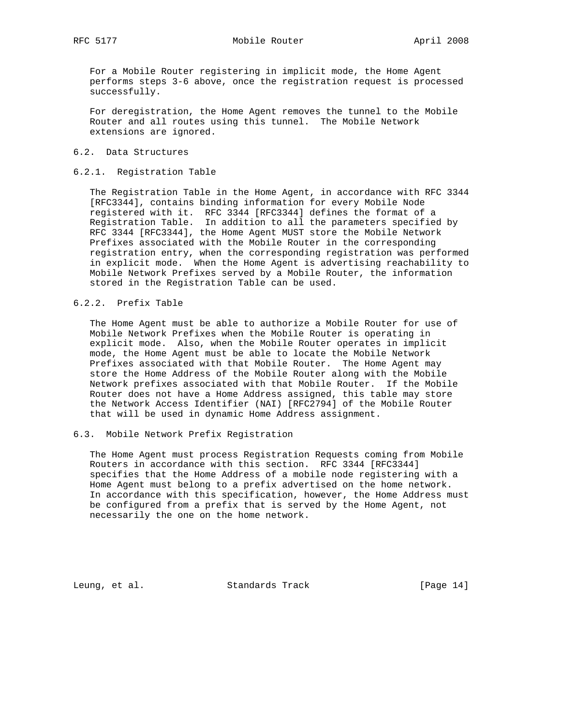For a Mobile Router registering in implicit mode, the Home Agent performs steps 3-6 above, once the registration request is processed successfully.

 For deregistration, the Home Agent removes the tunnel to the Mobile Router and all routes using this tunnel. The Mobile Network extensions are ignored.

### 6.2. Data Structures

# 6.2.1. Registration Table

 The Registration Table in the Home Agent, in accordance with RFC 3344 [RFC3344], contains binding information for every Mobile Node registered with it. RFC 3344 [RFC3344] defines the format of a Registration Table. In addition to all the parameters specified by RFC 3344 [RFC3344], the Home Agent MUST store the Mobile Network Prefixes associated with the Mobile Router in the corresponding registration entry, when the corresponding registration was performed in explicit mode. When the Home Agent is advertising reachability to Mobile Network Prefixes served by a Mobile Router, the information stored in the Registration Table can be used.

# 6.2.2. Prefix Table

 The Home Agent must be able to authorize a Mobile Router for use of Mobile Network Prefixes when the Mobile Router is operating in explicit mode. Also, when the Mobile Router operates in implicit mode, the Home Agent must be able to locate the Mobile Network Prefixes associated with that Mobile Router. The Home Agent may store the Home Address of the Mobile Router along with the Mobile Network prefixes associated with that Mobile Router. If the Mobile Router does not have a Home Address assigned, this table may store the Network Access Identifier (NAI) [RFC2794] of the Mobile Router that will be used in dynamic Home Address assignment.

# 6.3. Mobile Network Prefix Registration

 The Home Agent must process Registration Requests coming from Mobile Routers in accordance with this section. RFC 3344 [RFC3344] specifies that the Home Address of a mobile node registering with a Home Agent must belong to a prefix advertised on the home network. In accordance with this specification, however, the Home Address must be configured from a prefix that is served by the Home Agent, not necessarily the one on the home network.

Leung, et al. Standards Track [Page 14]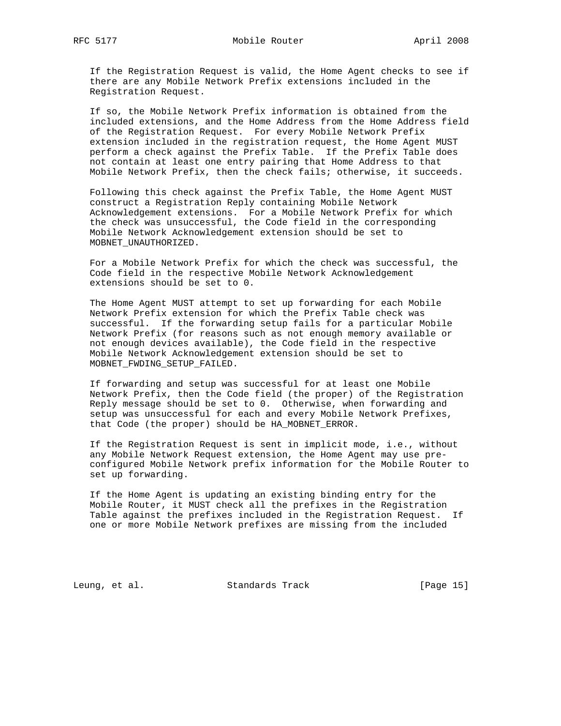If the Registration Request is valid, the Home Agent checks to see if there are any Mobile Network Prefix extensions included in the Registration Request.

 If so, the Mobile Network Prefix information is obtained from the included extensions, and the Home Address from the Home Address field of the Registration Request. For every Mobile Network Prefix extension included in the registration request, the Home Agent MUST perform a check against the Prefix Table. If the Prefix Table does not contain at least one entry pairing that Home Address to that Mobile Network Prefix, then the check fails; otherwise, it succeeds.

 Following this check against the Prefix Table, the Home Agent MUST construct a Registration Reply containing Mobile Network Acknowledgement extensions. For a Mobile Network Prefix for which the check was unsuccessful, the Code field in the corresponding Mobile Network Acknowledgement extension should be set to MOBNET\_UNAUTHORIZED.

 For a Mobile Network Prefix for which the check was successful, the Code field in the respective Mobile Network Acknowledgement extensions should be set to 0.

 The Home Agent MUST attempt to set up forwarding for each Mobile Network Prefix extension for which the Prefix Table check was successful. If the forwarding setup fails for a particular Mobile Network Prefix (for reasons such as not enough memory available or not enough devices available), the Code field in the respective Mobile Network Acknowledgement extension should be set to MOBNET\_FWDING\_SETUP\_FAILED.

 If forwarding and setup was successful for at least one Mobile Network Prefix, then the Code field (the proper) of the Registration Reply message should be set to 0. Otherwise, when forwarding and setup was unsuccessful for each and every Mobile Network Prefixes, that Code (the proper) should be HA\_MOBNET\_ERROR.

 If the Registration Request is sent in implicit mode, i.e., without any Mobile Network Request extension, the Home Agent may use pre configured Mobile Network prefix information for the Mobile Router to set up forwarding.

 If the Home Agent is updating an existing binding entry for the Mobile Router, it MUST check all the prefixes in the Registration Table against the prefixes included in the Registration Request. If one or more Mobile Network prefixes are missing from the included

Leung, et al. Standards Track [Page 15]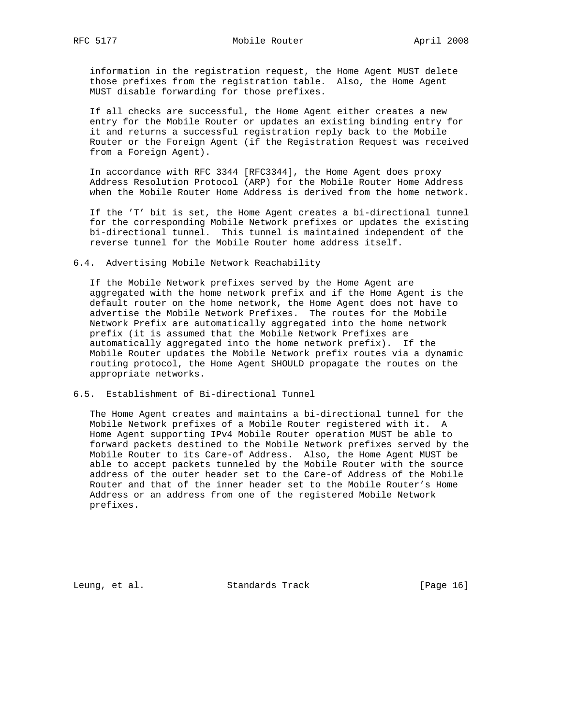information in the registration request, the Home Agent MUST delete those prefixes from the registration table. Also, the Home Agent MUST disable forwarding for those prefixes.

 If all checks are successful, the Home Agent either creates a new entry for the Mobile Router or updates an existing binding entry for it and returns a successful registration reply back to the Mobile Router or the Foreign Agent (if the Registration Request was received from a Foreign Agent).

 In accordance with RFC 3344 [RFC3344], the Home Agent does proxy Address Resolution Protocol (ARP) for the Mobile Router Home Address when the Mobile Router Home Address is derived from the home network.

 If the 'T' bit is set, the Home Agent creates a bi-directional tunnel for the corresponding Mobile Network prefixes or updates the existing bi-directional tunnel. This tunnel is maintained independent of the reverse tunnel for the Mobile Router home address itself.

6.4. Advertising Mobile Network Reachability

 If the Mobile Network prefixes served by the Home Agent are aggregated with the home network prefix and if the Home Agent is the default router on the home network, the Home Agent does not have to advertise the Mobile Network Prefixes. The routes for the Mobile Network Prefix are automatically aggregated into the home network prefix (it is assumed that the Mobile Network Prefixes are automatically aggregated into the home network prefix). If the Mobile Router updates the Mobile Network prefix routes via a dynamic routing protocol, the Home Agent SHOULD propagate the routes on the appropriate networks.

6.5. Establishment of Bi-directional Tunnel

 The Home Agent creates and maintains a bi-directional tunnel for the Mobile Network prefixes of a Mobile Router registered with it. A Home Agent supporting IPv4 Mobile Router operation MUST be able to forward packets destined to the Mobile Network prefixes served by the Mobile Router to its Care-of Address. Also, the Home Agent MUST be able to accept packets tunneled by the Mobile Router with the source address of the outer header set to the Care-of Address of the Mobile Router and that of the inner header set to the Mobile Router's Home Address or an address from one of the registered Mobile Network prefixes.

Leung, et al. Standards Track [Page 16]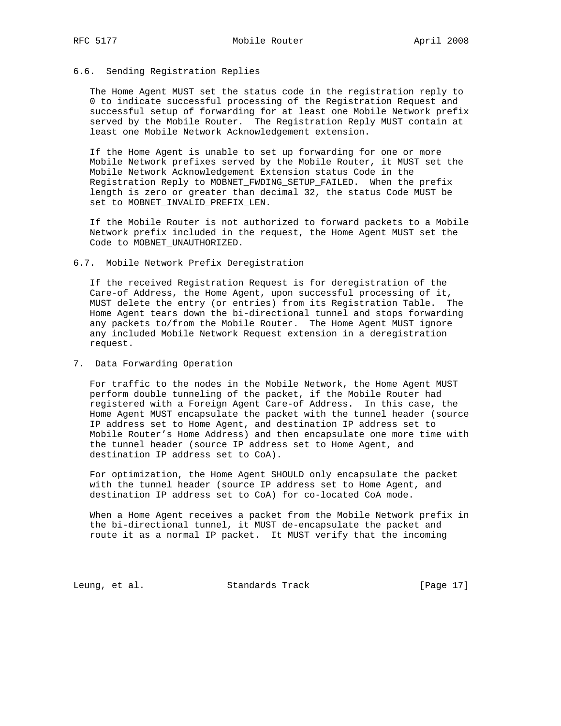# 6.6. Sending Registration Replies

 The Home Agent MUST set the status code in the registration reply to 0 to indicate successful processing of the Registration Request and successful setup of forwarding for at least one Mobile Network prefix served by the Mobile Router. The Registration Reply MUST contain at least one Mobile Network Acknowledgement extension.

 If the Home Agent is unable to set up forwarding for one or more Mobile Network prefixes served by the Mobile Router, it MUST set the Mobile Network Acknowledgement Extension status Code in the Registration Reply to MOBNET\_FWDING\_SETUP\_FAILED. When the prefix length is zero or greater than decimal 32, the status Code MUST be set to MOBNET\_INVALID\_PREFIX\_LEN.

 If the Mobile Router is not authorized to forward packets to a Mobile Network prefix included in the request, the Home Agent MUST set the Code to MOBNET\_UNAUTHORIZED.

6.7. Mobile Network Prefix Deregistration

 If the received Registration Request is for deregistration of the Care-of Address, the Home Agent, upon successful processing of it, MUST delete the entry (or entries) from its Registration Table. The Home Agent tears down the bi-directional tunnel and stops forwarding any packets to/from the Mobile Router. The Home Agent MUST ignore any included Mobile Network Request extension in a deregistration request.

7. Data Forwarding Operation

 For traffic to the nodes in the Mobile Network, the Home Agent MUST perform double tunneling of the packet, if the Mobile Router had registered with a Foreign Agent Care-of Address. In this case, the Home Agent MUST encapsulate the packet with the tunnel header (source IP address set to Home Agent, and destination IP address set to Mobile Router's Home Address) and then encapsulate one more time with the tunnel header (source IP address set to Home Agent, and destination IP address set to CoA).

 For optimization, the Home Agent SHOULD only encapsulate the packet with the tunnel header (source IP address set to Home Agent, and destination IP address set to CoA) for co-located CoA mode.

 When a Home Agent receives a packet from the Mobile Network prefix in the bi-directional tunnel, it MUST de-encapsulate the packet and route it as a normal IP packet. It MUST verify that the incoming

Leung, et al. Standards Track [Page 17]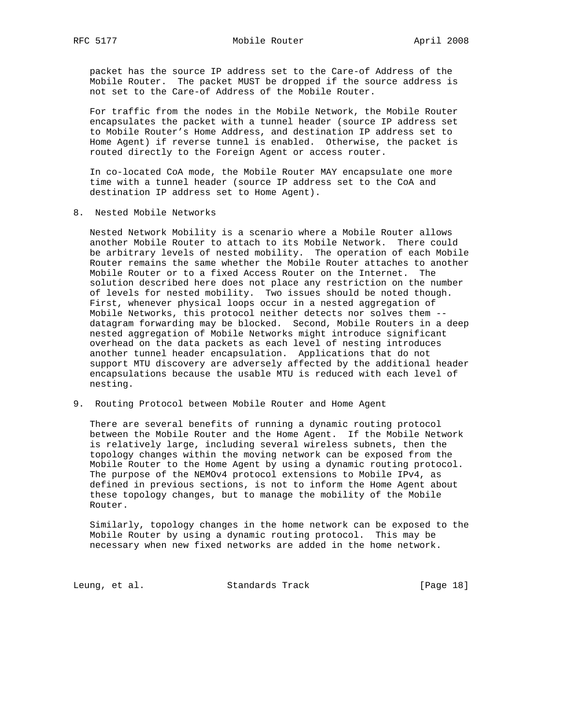packet has the source IP address set to the Care-of Address of the Mobile Router. The packet MUST be dropped if the source address is not set to the Care-of Address of the Mobile Router.

 For traffic from the nodes in the Mobile Network, the Mobile Router encapsulates the packet with a tunnel header (source IP address set to Mobile Router's Home Address, and destination IP address set to Home Agent) if reverse tunnel is enabled. Otherwise, the packet is routed directly to the Foreign Agent or access router.

 In co-located CoA mode, the Mobile Router MAY encapsulate one more time with a tunnel header (source IP address set to the CoA and destination IP address set to Home Agent).

8. Nested Mobile Networks

 Nested Network Mobility is a scenario where a Mobile Router allows another Mobile Router to attach to its Mobile Network. There could be arbitrary levels of nested mobility. The operation of each Mobile Router remains the same whether the Mobile Router attaches to another Mobile Router or to a fixed Access Router on the Internet. The solution described here does not place any restriction on the number of levels for nested mobility. Two issues should be noted though. First, whenever physical loops occur in a nested aggregation of Mobile Networks, this protocol neither detects nor solves them - datagram forwarding may be blocked. Second, Mobile Routers in a deep nested aggregation of Mobile Networks might introduce significant overhead on the data packets as each level of nesting introduces another tunnel header encapsulation. Applications that do not support MTU discovery are adversely affected by the additional header encapsulations because the usable MTU is reduced with each level of nesting.

9. Routing Protocol between Mobile Router and Home Agent

 There are several benefits of running a dynamic routing protocol between the Mobile Router and the Home Agent. If the Mobile Network is relatively large, including several wireless subnets, then the topology changes within the moving network can be exposed from the Mobile Router to the Home Agent by using a dynamic routing protocol. The purpose of the NEMOv4 protocol extensions to Mobile IPv4, as defined in previous sections, is not to inform the Home Agent about these topology changes, but to manage the mobility of the Mobile Router.

 Similarly, topology changes in the home network can be exposed to the Mobile Router by using a dynamic routing protocol. This may be necessary when new fixed networks are added in the home network.

Leung, et al. Standards Track [Page 18]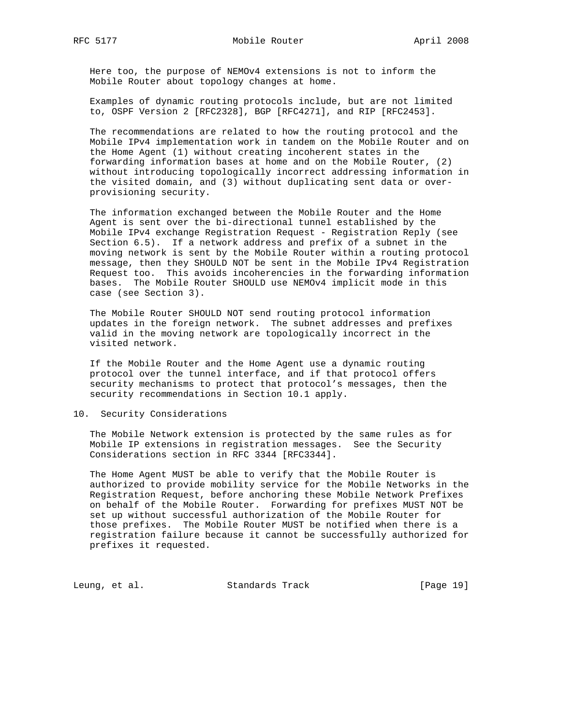Here too, the purpose of NEMOv4 extensions is not to inform the Mobile Router about topology changes at home.

 Examples of dynamic routing protocols include, but are not limited to, OSPF Version 2 [RFC2328], BGP [RFC4271], and RIP [RFC2453].

 The recommendations are related to how the routing protocol and the Mobile IPv4 implementation work in tandem on the Mobile Router and on the Home Agent (1) without creating incoherent states in the forwarding information bases at home and on the Mobile Router, (2) without introducing topologically incorrect addressing information in the visited domain, and (3) without duplicating sent data or over provisioning security.

 The information exchanged between the Mobile Router and the Home Agent is sent over the bi-directional tunnel established by the Mobile IPv4 exchange Registration Request - Registration Reply (see Section 6.5). If a network address and prefix of a subnet in the moving network is sent by the Mobile Router within a routing protocol message, then they SHOULD NOT be sent in the Mobile IPv4 Registration Request too. This avoids incoherencies in the forwarding information bases. The Mobile Router SHOULD use NEMOv4 implicit mode in this case (see Section 3).

 The Mobile Router SHOULD NOT send routing protocol information updates in the foreign network. The subnet addresses and prefixes valid in the moving network are topologically incorrect in the visited network.

 If the Mobile Router and the Home Agent use a dynamic routing protocol over the tunnel interface, and if that protocol offers security mechanisms to protect that protocol's messages, then the security recommendations in Section 10.1 apply.

10. Security Considerations

 The Mobile Network extension is protected by the same rules as for Mobile IP extensions in registration messages. See the Security Considerations section in RFC 3344 [RFC3344].

 The Home Agent MUST be able to verify that the Mobile Router is authorized to provide mobility service for the Mobile Networks in the Registration Request, before anchoring these Mobile Network Prefixes on behalf of the Mobile Router. Forwarding for prefixes MUST NOT be set up without successful authorization of the Mobile Router for those prefixes. The Mobile Router MUST be notified when there is a registration failure because it cannot be successfully authorized for prefixes it requested.

Leung, et al. Standards Track [Page 19]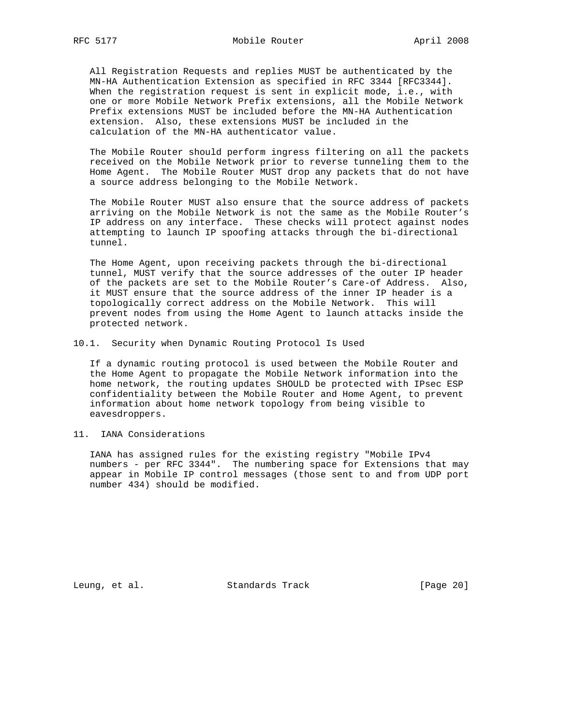All Registration Requests and replies MUST be authenticated by the MN-HA Authentication Extension as specified in RFC 3344 [RFC3344]. When the registration request is sent in explicit mode, i.e., with one or more Mobile Network Prefix extensions, all the Mobile Network Prefix extensions MUST be included before the MN-HA Authentication extension. Also, these extensions MUST be included in the calculation of the MN-HA authenticator value.

 The Mobile Router should perform ingress filtering on all the packets received on the Mobile Network prior to reverse tunneling them to the Home Agent. The Mobile Router MUST drop any packets that do not have a source address belonging to the Mobile Network.

 The Mobile Router MUST also ensure that the source address of packets arriving on the Mobile Network is not the same as the Mobile Router's IP address on any interface. These checks will protect against nodes attempting to launch IP spoofing attacks through the bi-directional tunnel.

 The Home Agent, upon receiving packets through the bi-directional tunnel, MUST verify that the source addresses of the outer IP header of the packets are set to the Mobile Router's Care-of Address. Also, it MUST ensure that the source address of the inner IP header is a topologically correct address on the Mobile Network. This will prevent nodes from using the Home Agent to launch attacks inside the protected network.

10.1. Security when Dynamic Routing Protocol Is Used

 If a dynamic routing protocol is used between the Mobile Router and the Home Agent to propagate the Mobile Network information into the home network, the routing updates SHOULD be protected with IPsec ESP confidentiality between the Mobile Router and Home Agent, to prevent information about home network topology from being visible to eavesdroppers.

11. IANA Considerations

 IANA has assigned rules for the existing registry "Mobile IPv4 numbers - per RFC 3344". The numbering space for Extensions that may appear in Mobile IP control messages (those sent to and from UDP port number 434) should be modified.

Leung, et al. Standards Track [Page 20]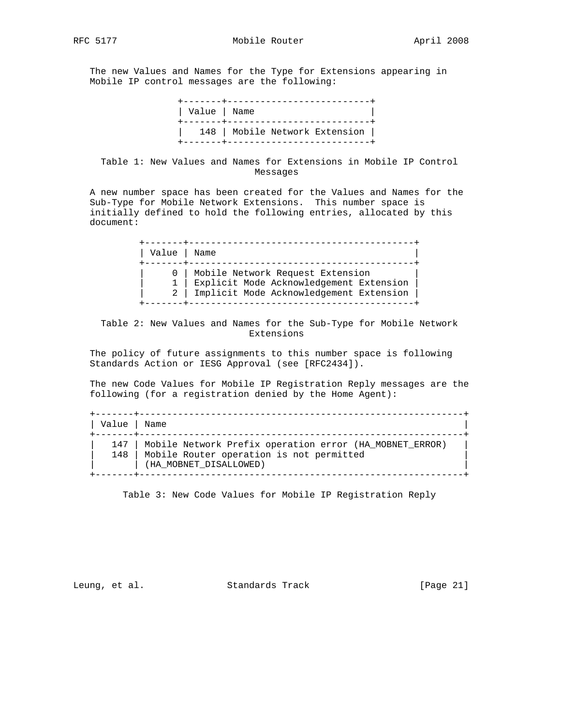The new Values and Names for the Type for Extensions appearing in Mobile IP control messages are the following:

| Value   Name | +-------+----------------------------<br>+-------+---------------------------- |
|--------------|--------------------------------------------------------------------------------|
|              | 148   Mobile Network Extension  <br>+-------+----------------------------      |

# Table 1: New Values and Names for Extensions in Mobile IP Control Messages

 A new number space has been created for the Values and Names for the Sub-Type for Mobile Network Extensions. This number space is initially defined to hold the following entries, allocated by this document:

| Value | Name                                                                                                                   |
|-------|------------------------------------------------------------------------------------------------------------------------|
|       | Mobile Network Request Extension<br>Explicit Mode Acknowledgement Extension<br>Implicit Mode Acknowledgement Extension |

 Table 2: New Values and Names for the Sub-Type for Mobile Network Extensions

 The policy of future assignments to this number space is following Standards Action or IESG Approval (see [RFC2434]).

 The new Code Values for Mobile IP Registration Reply messages are the following (for a registration denied by the Home Agent):

| Value   Name |                                                                                                                                     |
|--------------|-------------------------------------------------------------------------------------------------------------------------------------|
| 147          | Mobile Network Prefix operation error (HA MOBNET ERROR)<br>148   Mobile Router operation is not permitted<br>(HA MOBNET DISALLOWED) |

Table 3: New Code Values for Mobile IP Registration Reply

Leung, et al. Standards Track [Page 21]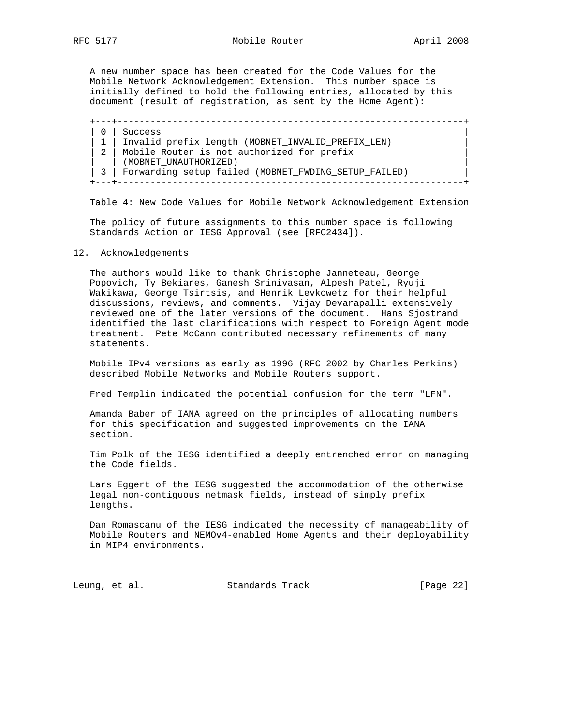A new number space has been created for the Code Values for the Mobile Network Acknowledgement Extension. This number space is initially defined to hold the following entries, allocated by this document (result of registration, as sent by the Home Agent):

 +---+---------------------------------------------------------------+  $| 0 |$  Success | 1 | Invalid prefix length (MOBNET\_INVALID\_PREFIX\_LEN) | | 2 | Mobile Router is not authorized for prefix | | (MOBNET\_UNAUTHORIZED) | | 3 | Forwarding setup failed (MOBNET\_FWDING\_SETUP\_FAILED) | +---+---------------------------------------------------------------+

Table 4: New Code Values for Mobile Network Acknowledgement Extension

 The policy of future assignments to this number space is following Standards Action or IESG Approval (see [RFC2434]).

#### 12. Acknowledgements

 The authors would like to thank Christophe Janneteau, George Popovich, Ty Bekiares, Ganesh Srinivasan, Alpesh Patel, Ryuji Wakikawa, George Tsirtsis, and Henrik Levkowetz for their helpful discussions, reviews, and comments. Vijay Devarapalli extensively reviewed one of the later versions of the document. Hans Sjostrand identified the last clarifications with respect to Foreign Agent mode treatment. Pete McCann contributed necessary refinements of many statements.

 Mobile IPv4 versions as early as 1996 (RFC 2002 by Charles Perkins) described Mobile Networks and Mobile Routers support.

Fred Templin indicated the potential confusion for the term "LFN".

 Amanda Baber of IANA agreed on the principles of allocating numbers for this specification and suggested improvements on the IANA section.

 Tim Polk of the IESG identified a deeply entrenched error on managing the Code fields.

 Lars Eggert of the IESG suggested the accommodation of the otherwise legal non-contiguous netmask fields, instead of simply prefix lengths.

 Dan Romascanu of the IESG indicated the necessity of manageability of Mobile Routers and NEMOv4-enabled Home Agents and their deployability in MIP4 environments.

Leung, et al. Standards Track [Page 22]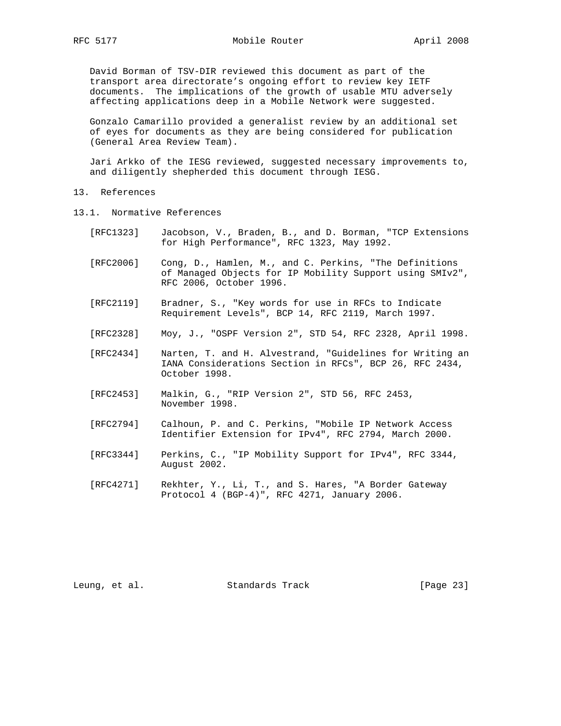David Borman of TSV-DIR reviewed this document as part of the transport area directorate's ongoing effort to review key IETF documents. The implications of the growth of usable MTU adversely affecting applications deep in a Mobile Network were suggested.

 Gonzalo Camarillo provided a generalist review by an additional set of eyes for documents as they are being considered for publication (General Area Review Team).

 Jari Arkko of the IESG reviewed, suggested necessary improvements to, and diligently shepherded this document through IESG.

- 13. References
- 13.1. Normative References
	- [RFC1323] Jacobson, V., Braden, B., and D. Borman, "TCP Extensions for High Performance", RFC 1323, May 1992.
	- [RFC2006] Cong, D., Hamlen, M., and C. Perkins, "The Definitions of Managed Objects for IP Mobility Support using SMIv2", RFC 2006, October 1996.
	- [RFC2119] Bradner, S., "Key words for use in RFCs to Indicate Requirement Levels", BCP 14, RFC 2119, March 1997.
	- [RFC2328] Moy, J., "OSPF Version 2", STD 54, RFC 2328, April 1998.
	- [RFC2434] Narten, T. and H. Alvestrand, "Guidelines for Writing an IANA Considerations Section in RFCs", BCP 26, RFC 2434, October 1998.
	- [RFC2453] Malkin, G., "RIP Version 2", STD 56, RFC 2453, November 1998.
	- [RFC2794] Calhoun, P. and C. Perkins, "Mobile IP Network Access Identifier Extension for IPv4", RFC 2794, March 2000.
	- [RFC3344] Perkins, C., "IP Mobility Support for IPv4", RFC 3344, August 2002.
	- [RFC4271] Rekhter, Y., Li, T., and S. Hares, "A Border Gateway Protocol 4 (BGP-4)", RFC 4271, January 2006.

Leung, et al. Standards Track [Page 23]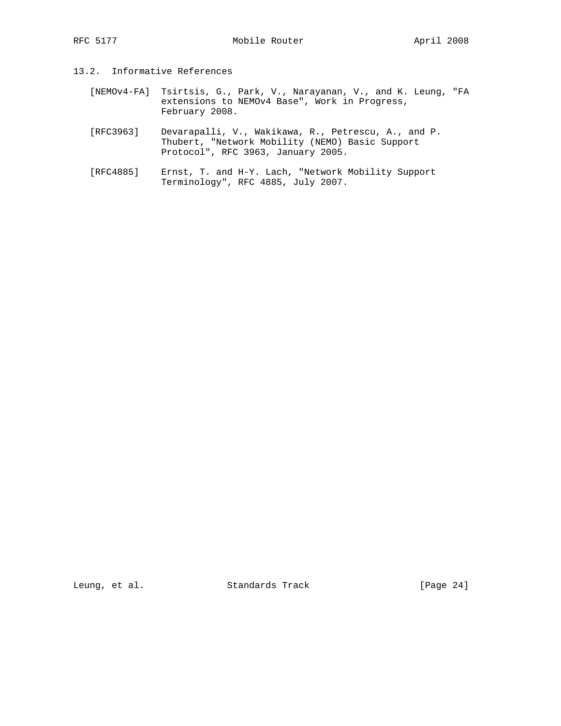- 13.2. Informative References
	- [NEMOv4-FA] Tsirtsis, G., Park, V., Narayanan, V., and K. Leung, "FA extensions to NEMOv4 Base", Work in Progress, February 2008.
	- [RFC3963] Devarapalli, V., Wakikawa, R., Petrescu, A., and P. Thubert, "Network Mobility (NEMO) Basic Support Protocol", RFC 3963, January 2005.
	- [RFC4885] Ernst, T. and H-Y. Lach, "Network Mobility Support Terminology", RFC 4885, July 2007.

Leung, et al. Standards Track [Page 24]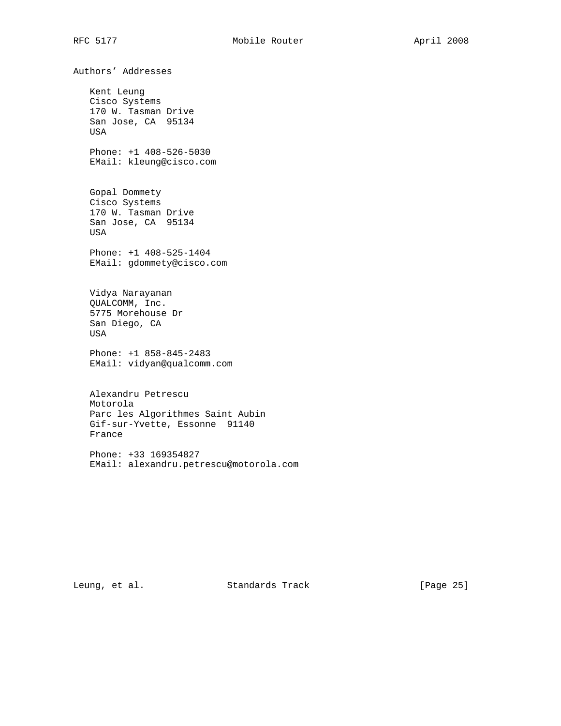Authors' Addresses Kent Leung Cisco Systems 170 W. Tasman Drive San Jose, CA 95134 USA Phone: +1 408-526-5030 EMail: kleung@cisco.com Gopal Dommety Cisco Systems 170 W. Tasman Drive San Jose, CA 95134 USA Phone: +1 408-525-1404 EMail: gdommety@cisco.com Vidya Narayanan QUALCOMM, Inc. 5775 Morehouse Dr San Diego, CA USA Phone: +1 858-845-2483 EMail: vidyan@qualcomm.com Alexandru Petrescu Motorola Parc les Algorithmes Saint Aubin Gif-sur-Yvette, Essonne 91140 France

 Phone: +33 169354827 EMail: alexandru.petrescu@motorola.com

Leung, et al. Standards Track [Page 25]